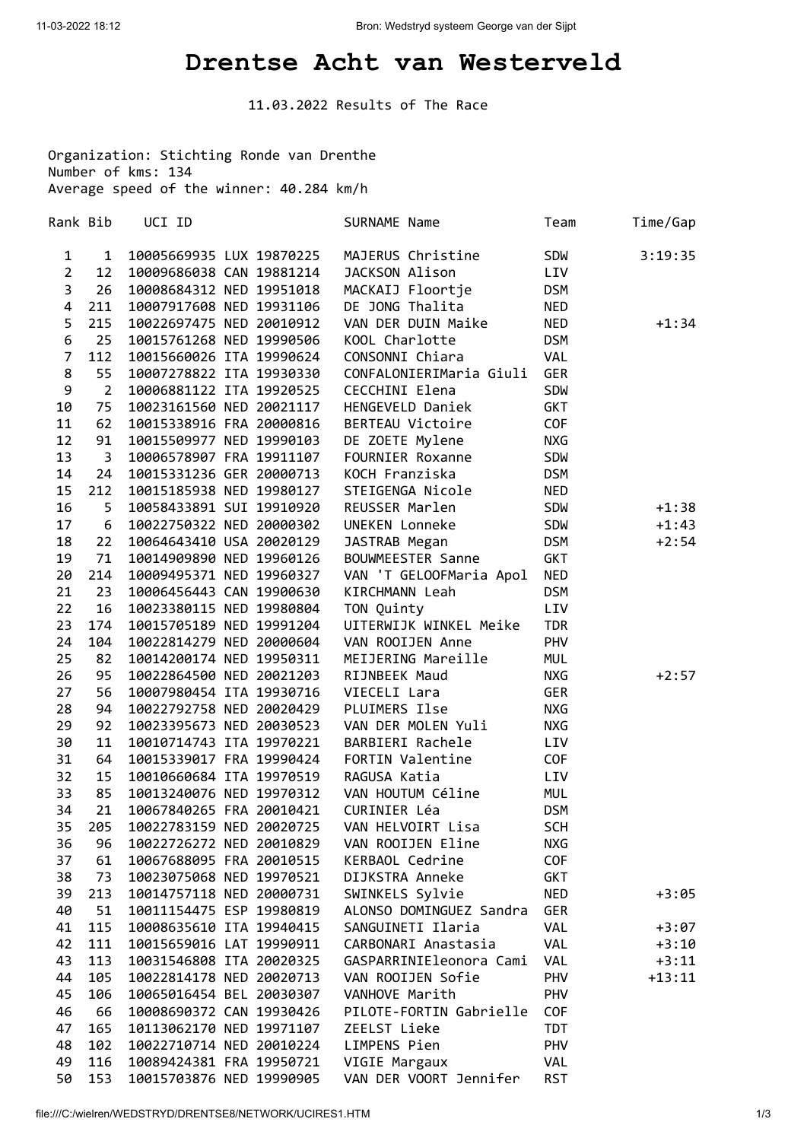## **Drentse Acht van Westerveld**

11.03.2022 Results of The Race

Organization: Stichting Ronde van Drenthe Number of kms: 134 Average speed of the winner: 40.284 km/h

| Rank Bib         |                | UCI ID                          |  | SURNAME Name            | Team       | Time/Gap |
|------------------|----------------|---------------------------------|--|-------------------------|------------|----------|
| $\mathbf{1}$     | $\mathbf{1}$   | 10005669935 LUX 19870225        |  | MAJERUS Christine       | <b>SDW</b> | 3:19:35  |
| $\overline{2}$   | 12             | 10009686038 CAN 19881214        |  | JACKSON Alison          | LIV        |          |
| $\overline{3}$   | 26             | 10008684312 NED 19951018        |  | MACKAIJ Floortje        | <b>DSM</b> |          |
| $\overline{4}$   | 211            | 10007917608 NED 19931106        |  | DE JONG Thalita         | <b>NED</b> |          |
| 5                | 215            | 10022697475 NED 20010912        |  | VAN DER DUIN Maike      | <b>NED</b> | $+1:34$  |
| $\boldsymbol{6}$ | 25             | 10015761268 NED 19990506        |  | KOOL Charlotte          | <b>DSM</b> |          |
| $\overline{7}$   | 112            | 10015660026 ITA 19990624        |  | CONSONNI Chiara         | VAL        |          |
| 8                | 55             | 10007278822 ITA 19930330        |  | CONFALONIERIMaria Giuli | <b>GER</b> |          |
| 9                | $2^{\circ}$    | 10006881122 ITA 19920525        |  | CECCHINI Elena          | <b>SDW</b> |          |
| 10               | 75             | 10023161560 NED 20021117        |  | HENGEVELD Daniek        | <b>GKT</b> |          |
| 11               | 62             | 10015338916 FRA 20000816        |  | BERTEAU Victoire        | COF        |          |
| 12               | 91             | 10015509977 NED 19990103        |  | DE ZOETE Mylene         | <b>NXG</b> |          |
| 13               | $\overline{3}$ | 10006578907 FRA 19911107        |  | FOURNIER Roxanne        | <b>SDW</b> |          |
| 14               | 24             | 10015331236 GER 20000713        |  | KOCH Franziska          | <b>DSM</b> |          |
| 15               | 212            | 10015185938 NED 19980127        |  | STEIGENGA Nicole        | <b>NED</b> |          |
| 16               | 5              | 10058433891 SUI 19910920        |  | REUSSER Marlen          | SDW        | $+1:38$  |
| 17               | 6              | 10022750322 NED 20000302        |  | UNEKEN Lonneke          | <b>SDW</b> | $+1:43$  |
| 18               | 22             | 10064643410 USA 20020129        |  | JASTRAB Megan           | <b>DSM</b> | $+2:54$  |
| 19               | 71             | 10014909890 NED 19960126        |  | BOUWMEESTER Sanne       | GKT        |          |
| 20               | 214            | 10009495371 NED 19960327        |  | VAN 'T GELOOFMaria Apol | <b>NED</b> |          |
| 21               | 23             | 10006456443 CAN 19900630        |  | KIRCHMANN Leah          | <b>DSM</b> |          |
| 22               | 16             | 10023380115 NED 19980804        |  | TON Quinty              | LIV        |          |
| 23               | 174            | 10015705189 NED 19991204        |  | UITERWIJK WINKEL Meike  | <b>TDR</b> |          |
| 24               | 104            | 10022814279 NED 20000604        |  | VAN ROOIJEN Anne        | PHV        |          |
| 25               | 82             | 10014200174 NED 19950311        |  | MEIJERING Mareille      | <b>MUL</b> |          |
| 26               | 95             | 10022864500 NED 20021203        |  | RIJNBEEK Maud           | <b>NXG</b> | $+2:57$  |
| 27               | 56             | 10007980454 ITA 19930716        |  | VIECELI Lara            | <b>GER</b> |          |
| 28               | 94             | 10022792758 NED 20020429        |  | PLUIMERS Ilse           | <b>NXG</b> |          |
| 29               | 92             | 10023395673 NED 20030523        |  | VAN DER MOLEN Yuli      | <b>NXG</b> |          |
| 30               | 11             | 10010714743 ITA 19970221        |  | BARBIERI Rachele        | LIV        |          |
| 31               | 64             | 10015339017 FRA 19990424        |  | FORTIN Valentine        | <b>COF</b> |          |
| 32               | 15             | 10010660684 ITA 19970519        |  | RAGUSA Katia            | LIV        |          |
| 33               | 85             | 10013240076 NED 19970312        |  | VAN HOUTUM Céline       | <b>MUL</b> |          |
| 34               | 21             | 10067840265 FRA 20010421        |  | CURINIER Léa            | <b>DSM</b> |          |
|                  |                | 35 205 10022783159 NED 20020725 |  | VAN HELVOIRT Lisa       | SCH        |          |
| 36               | 96             | 10022726272 NED 20010829        |  | VAN ROOIJEN Eline       | NXG        |          |
| 37               | 61             | 10067688095 FRA 20010515        |  | KERBAOL Cedrine         | COF        |          |
| 38               | 73             | 10023075068 NED 19970521        |  | DIJKSTRA Anneke         | <b>GKT</b> |          |
| 39               | 213            | 10014757118 NED 20000731        |  | SWINKELS Sylvie         | <b>NED</b> | $+3:05$  |
| 40               | 51             | 10011154475 ESP 19980819        |  | ALONSO DOMINGUEZ Sandra | <b>GER</b> |          |
| 41               | 115            | 10008635610 ITA 19940415        |  | SANGUINETI Ilaria       | VAL        | $+3:07$  |
| 42               | 111            | 10015659016 LAT 19990911        |  | CARBONARI Anastasia     | VAL        | $+3:10$  |
| 43               | 113            | 10031546808 ITA 20020325        |  | GASPARRINIEleonora Cami | VAL        | $+3:11$  |
| 44               | 105            | 10022814178 NED 20020713        |  | VAN ROOIJEN Sofie       | PHV        | $+13:11$ |
| 45               | 106            | 10065016454 BEL 20030307        |  | VANHOVE Marith          | PHV        |          |
| 46               | 66             | 10008690372 CAN 19930426        |  | PILOTE-FORTIN Gabrielle | <b>COF</b> |          |
| 47               | 165            | 10113062170 NED 19971107        |  | ZEELST Lieke            | TDT        |          |
| 48               | 102            | 10022710714 NED 20010224        |  | LIMPENS Pien            | PHV        |          |
| 49               | 116            | 10089424381 FRA 19950721        |  | VIGIE Margaux           | VAL        |          |
| 50               | 153            | 10015703876 NED 19990905        |  | VAN DER VOORT Jennifer  | <b>RST</b> |          |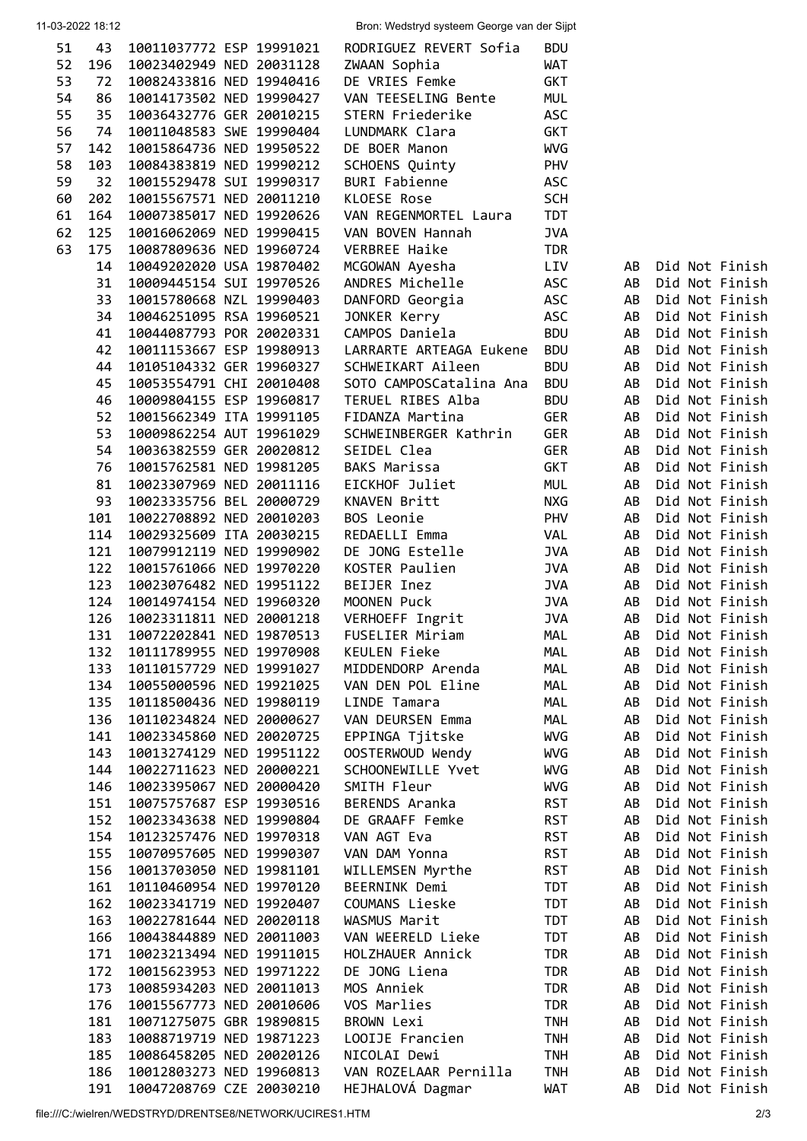| 51 | 43  | 10011037772 ESP 19991021 |  | RODRIGUEZ REVERT Sofia  | <b>BDU</b> |    |                |  |
|----|-----|--------------------------|--|-------------------------|------------|----|----------------|--|
| 52 | 196 | 10023402949 NED 20031128 |  | ZWAAN Sophia            | <b>WAT</b> |    |                |  |
| 53 | 72  | 10082433816 NED 19940416 |  | DE VRIES Femke          | <b>GKT</b> |    |                |  |
| 54 | 86  | 10014173502 NED 19990427 |  | VAN TEESELING Bente     | <b>MUL</b> |    |                |  |
| 55 | 35  | 10036432776 GER 20010215 |  | STERN Friederike        | <b>ASC</b> |    |                |  |
| 56 | 74  |                          |  |                         |            |    |                |  |
|    |     | 10011048583 SWE 19990404 |  | LUNDMARK Clara          | <b>GKT</b> |    |                |  |
| 57 | 142 | 10015864736 NED 19950522 |  | DE BOER Manon           | <b>WVG</b> |    |                |  |
| 58 | 103 | 10084383819 NED 19990212 |  | SCHOENS Quinty          | PHV        |    |                |  |
| 59 | 32  | 10015529478 SUI 19990317 |  | <b>BURI Fabienne</b>    | <b>ASC</b> |    |                |  |
| 60 | 202 | 10015567571 NED 20011210 |  | KLOESE Rose             | <b>SCH</b> |    |                |  |
|    | 164 |                          |  |                         |            |    |                |  |
| 61 |     | 10007385017 NED 19920626 |  | VAN REGENMORTEL Laura   | <b>TDT</b> |    |                |  |
| 62 | 125 | 10016062069 NED 19990415 |  | VAN BOVEN Hannah        | <b>JVA</b> |    |                |  |
| 63 | 175 | 10087809636 NED 19960724 |  | <b>VERBREE Haike</b>    | <b>TDR</b> |    |                |  |
|    | 14  | 10049202020 USA 19870402 |  | MCGOWAN Ayesha          | LIV        | AB | Did Not Finish |  |
|    | 31  | 10009445154 SUI 19970526 |  | ANDRES Michelle         | <b>ASC</b> | AB | Did Not Finish |  |
|    | 33  | 10015780668 NZL 19990403 |  |                         |            | AB | Did Not Finish |  |
|    |     |                          |  | DANFORD Georgia         | <b>ASC</b> |    |                |  |
|    | 34  | 10046251095 RSA 19960521 |  | JONKER Kerry            | ASC        | AB | Did Not Finish |  |
|    | 41  | 10044087793 POR 20020331 |  | CAMPOS Daniela          | <b>BDU</b> | AB | Did Not Finish |  |
|    | 42  | 10011153667 ESP 19980913 |  | LARRARTE ARTEAGA Eukene | <b>BDU</b> | AB | Did Not Finish |  |
|    | 44  | 10105104332 GER 19960327 |  | SCHWEIKART Aileen       | <b>BDU</b> | AB | Did Not Finish |  |
|    | 45  | 10053554791 CHI 20010408 |  | SOTO CAMPOSCatalina Ana | <b>BDU</b> | AB | Did Not Finish |  |
|    |     |                          |  |                         |            |    |                |  |
|    | 46  | 10009804155 ESP 19960817 |  | TERUEL RIBES Alba       | <b>BDU</b> | AB | Did Not Finish |  |
|    | 52  | 10015662349 ITA 19991105 |  | FIDANZA Martina         | <b>GER</b> | AB | Did Not Finish |  |
|    | 53  | 10009862254 AUT 19961029 |  | SCHWEINBERGER Kathrin   | <b>GER</b> | AB | Did Not Finish |  |
|    | 54  | 10036382559 GER 20020812 |  | SEIDEL Clea             | <b>GER</b> | AB | Did Not Finish |  |
|    | 76  | 10015762581 NED 19981205 |  | <b>BAKS Marissa</b>     |            | AB | Did Not Finish |  |
|    |     |                          |  |                         | <b>GKT</b> |    |                |  |
|    | 81  | 10023307969 NED 20011116 |  | EICKHOF Juliet          | MUL        | AB | Did Not Finish |  |
|    | 93  | 10023335756 BEL 20000729 |  | KNAVEN Britt            | <b>NXG</b> | AB | Did Not Finish |  |
|    | 101 | 10022708892 NED 20010203 |  | BOS Leonie              | PHV        | AB | Did Not Finish |  |
|    | 114 | 10029325609 ITA 20030215 |  | REDAELLI Emma           | VAL        | AB | Did Not Finish |  |
|    | 121 | 10079912119 NED 19990902 |  | DE JONG Estelle         | <b>JVA</b> | AB | Did Not Finish |  |
|    |     |                          |  |                         |            |    |                |  |
|    | 122 | 10015761066 NED 19970220 |  | KOSTER Paulien          | <b>JVA</b> | AB | Did Not Finish |  |
|    | 123 | 10023076482 NED 19951122 |  | BEIJER Inez             | <b>JVA</b> | AB | Did Not Finish |  |
|    | 124 | 10014974154 NED 19960320 |  | MOONEN Puck             | <b>JVA</b> | AB | Did Not Finish |  |
|    | 126 | 10023311811 NED 20001218 |  | VERHOEFF Ingrit         | <b>JVA</b> | AB | Did Not Finish |  |
|    | 131 | 10072202841 NED 19870513 |  | FUSELIER Miriam         | <b>MAL</b> | AB | Did Not Finish |  |
|    |     |                          |  |                         |            |    |                |  |
|    | 132 | 10111789955 NED 19970908 |  | KEULEN Fieke            | MAL        | AB | Did Not Finish |  |
|    | 133 | 10110157729 NED 19991027 |  | MIDDENDORP Arenda       | MAL        | AB | Did Not Finish |  |
|    | 134 | 10055000596 NED 19921025 |  | VAN DEN POL Eline       | MAL        | AB | Did Not Finish |  |
|    | 135 | 10118500436 NED 19980119 |  | LINDE Tamara            | MAL        | AB | Did Not Finish |  |
|    | 136 | 10110234824 NED 20000627 |  | VAN DEURSEN Emma        | MAL        | AB | Did Not Finish |  |
|    | 141 | 10023345860 NED 20020725 |  |                         |            | AB |                |  |
|    |     |                          |  | EPPINGA Tjitske         | WVG        |    | Did Not Finish |  |
|    | 143 | 10013274129 NED 19951122 |  | OOSTERWOUD Wendy        | WVG        | AB | Did Not Finish |  |
|    | 144 | 10022711623 NED 20000221 |  | SCHOONEWILLE Yvet       | WVG        | AB | Did Not Finish |  |
|    | 146 | 10023395067 NED 20000420 |  | SMITH Fleur             | WVG        | AB | Did Not Finish |  |
|    | 151 | 10075757687 ESP 19930516 |  | BERENDS Aranka          | <b>RST</b> | AB | Did Not Finish |  |
|    | 152 | 10023343638 NED 19990804 |  | DE GRAAFF Femke         | <b>RST</b> | AB | Did Not Finish |  |
|    |     |                          |  |                         |            |    |                |  |
|    | 154 | 10123257476 NED 19970318 |  | VAN AGT Eva             | <b>RST</b> | AB | Did Not Finish |  |
|    | 155 | 10070957605 NED 19990307 |  | VAN DAM Yonna           | <b>RST</b> | AB | Did Not Finish |  |
|    | 156 | 10013703050 NED 19981101 |  | WILLEMSEN Myrthe        | <b>RST</b> | AB | Did Not Finish |  |
|    | 161 | 10110460954 NED 19970120 |  | BEERNINK Demi           | TDT        | AB | Did Not Finish |  |
|    | 162 | 10023341719 NED 19920407 |  | COUMANS Lieske          | <b>TDT</b> | AB | Did Not Finish |  |
|    |     |                          |  |                         |            |    |                |  |
|    | 163 | 10022781644 NED 20020118 |  | WASMUS Marit            | TDT        | AB | Did Not Finish |  |
|    | 166 | 10043844889 NED 20011003 |  | VAN WEERELD Lieke       | TDT        | AB | Did Not Finish |  |
|    | 171 | 10023213494 NED 19911015 |  | HOLZHAUER Annick        | <b>TDR</b> | AB | Did Not Finish |  |
|    | 172 | 10015623953 NED 19971222 |  | DE JONG Liena           | <b>TDR</b> | AB | Did Not Finish |  |
|    | 173 | 10085934203 NED 20011013 |  | MOS Anniek              | <b>TDR</b> | AB | Did Not Finish |  |
|    |     |                          |  |                         |            |    |                |  |
|    | 176 | 10015567773 NED 20010606 |  | VOS Marlies             | <b>TDR</b> | AB | Did Not Finish |  |
|    | 181 | 10071275075 GBR 19890815 |  | <b>BROWN Lexi</b>       | <b>TNH</b> | AB | Did Not Finish |  |
|    | 183 | 10088719719 NED 19871223 |  | LOOIJE Francien         | <b>TNH</b> | AB | Did Not Finish |  |
|    | 185 | 10086458205 NED 20020126 |  | NICOLAI Dewi            | <b>TNH</b> | AB | Did Not Finish |  |
|    | 186 | 10012803273 NED 19960813 |  | VAN ROZELAAR Pernilla   | <b>TNH</b> | AB | Did Not Finish |  |
|    | 191 | 10047208769 CZE 20030210 |  | HEJHALOVÁ Dagmar        | <b>WAT</b> | AB | Did Not Finish |  |
|    |     |                          |  |                         |            |    |                |  |

11-03-2022 18:12 Bron: Wedstryd systeem George van der Sijpt